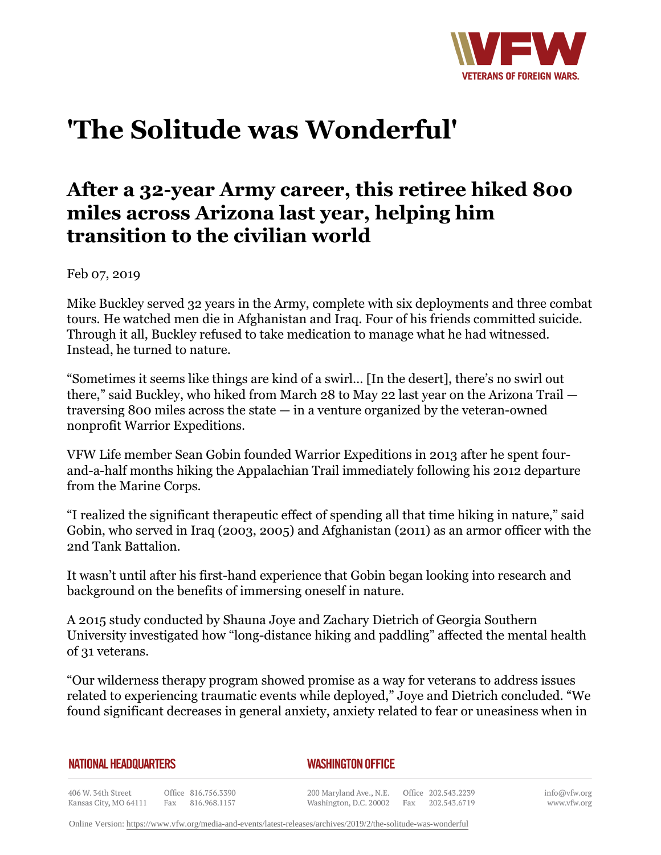

## **'The Solitude was Wonderful'**

## **After a 32-year Army career, this retiree hiked 800 miles across Arizona last year, helping him transition to the civilian world**

Feb 07, 2019

Mike Buckley served 32 years in the Army, complete with six deployments and three combat tours. He watched men die in Afghanistan and Iraq. Four of his friends committed suicide. Through it all, Buckley refused to take medication to manage what he had witnessed. Instead, he turned to nature.

"Sometimes it seems like things are kind of a swirl… [In the desert], there's no swirl out there," said Buckley, who hiked from March 28 to May 22 last year on the Arizona Trail traversing 800 miles across the state — in a venture organized by the veteran-owned nonprofit Warrior Expeditions.

VFW Life member Sean Gobin founded Warrior Expeditions in 2013 after he spent fourand-a-half months hiking the Appalachian Trail immediately following his 2012 departure from the Marine Corps.

"I realized the significant therapeutic effect of spending all that time hiking in nature," said Gobin, who served in Iraq (2003, 2005) and Afghanistan (2011) as an armor officer with the 2nd Tank Battalion.

It wasn't until after his first-hand experience that Gobin began looking into research and background on the benefits of immersing oneself in nature.

A 2015 study conducted by Shauna Joye and Zachary Dietrich of Georgia Southern University investigated how "long-distance hiking and paddling" affected the mental health of 31 veterans.

"Our wilderness therapy program showed promise as a way for veterans to address issues related to experiencing traumatic events while deployed," Joye and Dietrich concluded. "We found significant decreases in general anxiety, anxiety related to fear or uneasiness when in

**NATIONAL HEADQUARTERS** 

*WASHINGTON OFFICE* 

406 W. 34th Street Office 816.756.3390 Fax 816.968.1157 Kansas City, MO 64111

200 Maryland Ave., N.E. Washington, D.C. 20002

Office 202.543.2239 Fax 202.543.6719 info@vfw.org www.vfw.org

Online Version:<https://www.vfw.org/media-and-events/latest-releases/archives/2019/2/the-solitude-was-wonderful>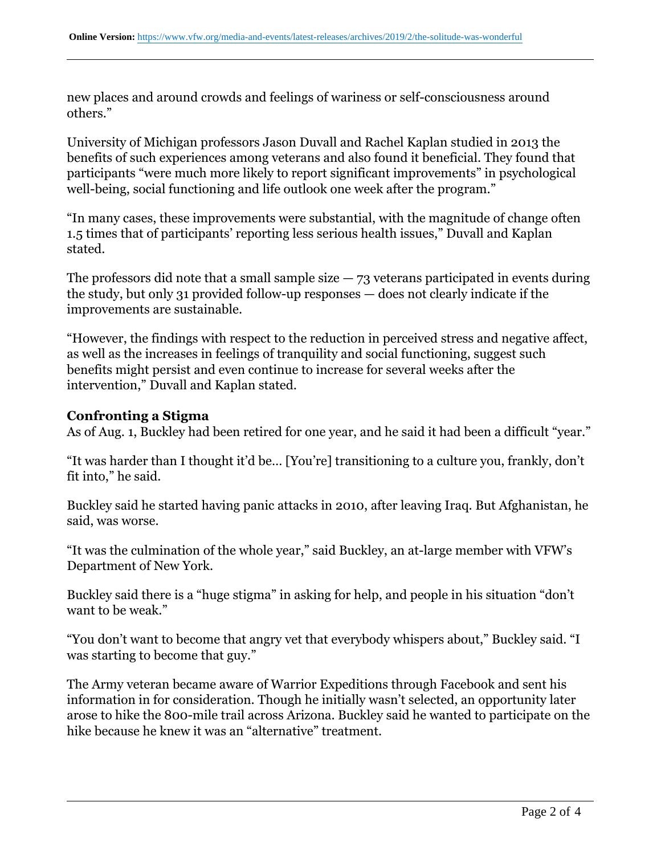new places and around crowds and feelings of wariness or self-consciousness around others."

University of Michigan professors Jason Duvall and Rachel Kaplan studied in 2013 the benefits of such experiences among veterans and also found it beneficial. They found that participants "were much more likely to report significant improvements" in psychological well-being, social functioning and life outlook one week after the program."

"In many cases, these improvements were substantial, with the magnitude of change often 1.5 times that of participants' reporting less serious health issues," Duvall and Kaplan stated.

The professors did note that a small sample size  $-73$  veterans participated in events during the study, but only 31 provided follow-up responses — does not clearly indicate if the improvements are sustainable.

"However, the findings with respect to the reduction in perceived stress and negative affect, as well as the increases in feelings of tranquility and social functioning, suggest such benefits might persist and even continue to increase for several weeks after the intervention," Duvall and Kaplan stated.

## **Confronting a Stigma**

As of Aug. 1, Buckley had been retired for one year, and he said it had been a difficult "year."

"It was harder than I thought it'd be… [You're] transitioning to a culture you, frankly, don't fit into," he said.

Buckley said he started having panic attacks in 2010, after leaving Iraq. But Afghanistan, he said, was worse.

"It was the culmination of the whole year," said Buckley, an at-large member with VFW's Department of New York.

Buckley said there is a "huge stigma" in asking for help, and people in his situation "don't want to be weak."

"You don't want to become that angry vet that everybody whispers about," Buckley said. "I was starting to become that guy."

The Army veteran became aware of Warrior Expeditions through Facebook and sent his information in for consideration. Though he initially wasn't selected, an opportunity later arose to hike the 800-mile trail across Arizona. Buckley said he wanted to participate on the hike because he knew it was an "alternative" treatment.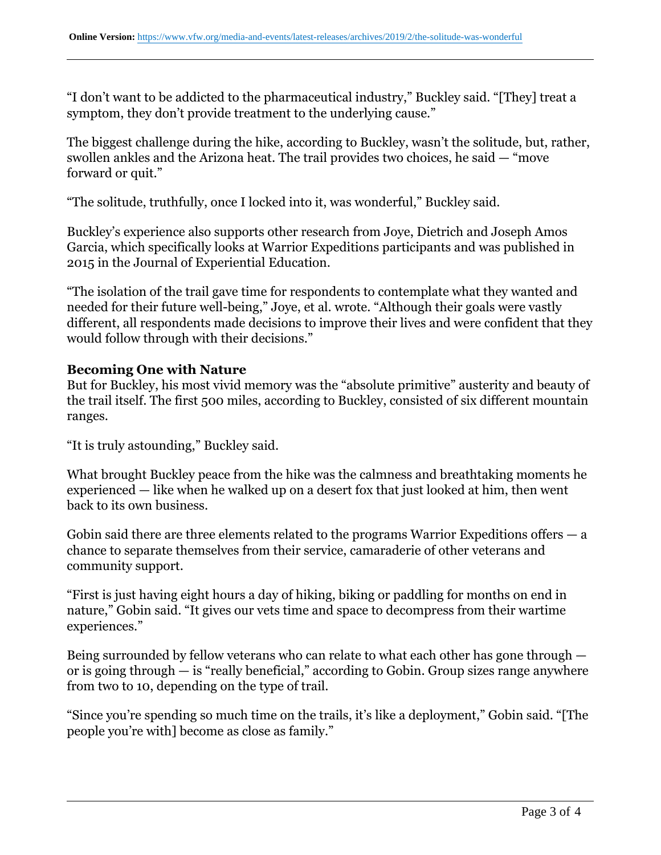"I don't want to be addicted to the pharmaceutical industry," Buckley said. "[They] treat a symptom, they don't provide treatment to the underlying cause."

The biggest challenge during the hike, according to Buckley, wasn't the solitude, but, rather, swollen ankles and the Arizona heat. The trail provides two choices, he said — "move forward or quit."

"The solitude, truthfully, once I locked into it, was wonderful," Buckley said.

Buckley's experience also supports other research from Joye, Dietrich and Joseph Amos Garcia, which specifically looks at Warrior Expeditions participants and was published in 2015 in the Journal of Experiential Education.

"The isolation of the trail gave time for respondents to contemplate what they wanted and needed for their future well-being," Joye, et al. wrote. "Although their goals were vastly different, all respondents made decisions to improve their lives and were confident that they would follow through with their decisions."

## **Becoming One with Nature**

But for Buckley, his most vivid memory was the "absolute primitive" austerity and beauty of the trail itself. The first 500 miles, according to Buckley, consisted of six different mountain ranges.

"It is truly astounding," Buckley said.

What brought Buckley peace from the hike was the calmness and breathtaking moments he experienced — like when he walked up on a desert fox that just looked at him, then went back to its own business.

Gobin said there are three elements related to the programs Warrior Expeditions offers  $-$  a chance to separate themselves from their service, camaraderie of other veterans and community support.

"First is just having eight hours a day of hiking, biking or paddling for months on end in nature," Gobin said. "It gives our vets time and space to decompress from their wartime experiences."

Being surrounded by fellow veterans who can relate to what each other has gone through or is going through — is "really beneficial," according to Gobin. Group sizes range anywhere from two to 10, depending on the type of trail.

"Since you're spending so much time on the trails, it's like a deployment," Gobin said. "[The people you're with] become as close as family."